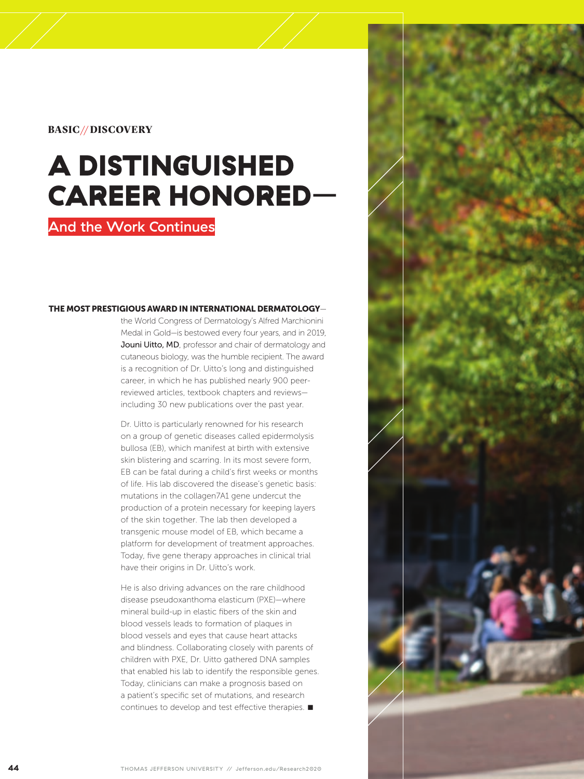## BASIC// DISCOVERY

## A DISTINGUISHED CAREER HONORED–

## And the Work Continues

## THE MOST PRESTIGIOUS AWARD IN INTERNATIONAL DERMATOLOGY—

the World Congress of Dermatology's Alfred Marchionini Medal in Gold—is bestowed every four years, and in 2019, Jouni Uitto, MD, professor and chair of dermatology and cutaneous biology, was the humble recipient. The award is a recognition of Dr. Uitto's long and distinguished career, in which he has published nearly 900 peerreviewed articles, textbook chapters and reviews including 30 new publications over the past year.

Dr. Uitto is particularly renowned for his research on a group of genetic diseases called epidermolysis bullosa (EB), which manifest at birth with extensive skin blistering and scarring. In its most severe form, EB can be fatal during a child's first weeks or months of life. His lab discovered the disease's genetic basis: mutations in the collagen7A1 gene undercut the production of a protein necessary for keeping layers of the skin together. The lab then developed a transgenic mouse model of EB, which became a platform for development of treatment approaches. Today, five gene therapy approaches in clinical trial have their origins in Dr. Uitto's work.

He is also driving advances on the rare childhood disease pseudoxanthoma elasticum (PXE)—where mineral build-up in elastic fibers of the skin and blood vessels leads to formation of plaques in blood vessels and eyes that cause heart attacks and blindness. Collaborating closely with parents of children with PXE, Dr. Uitto gathered DNA samples that enabled his lab to identify the responsible genes. Today, clinicians can make a prognosis based on a patient's specific set of mutations, and research continues to develop and test effective therapies.